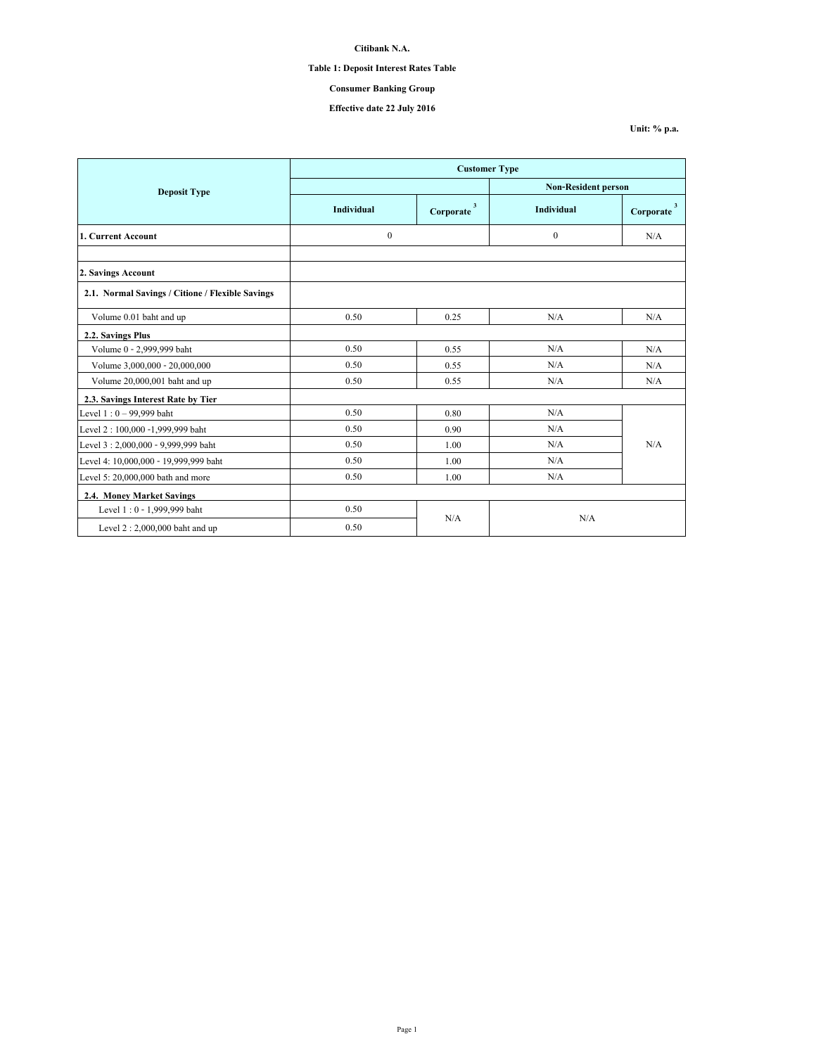# **Table 1: Deposit Interest Rates Table**

# **Consumer Banking Group**

## **Effective date 22 July 2016**

**Unit: % p.a.**

|                                                  | <b>Customer Type</b> |                           |                            |                                      |  |
|--------------------------------------------------|----------------------|---------------------------|----------------------------|--------------------------------------|--|
| <b>Deposit Type</b>                              |                      |                           | <b>Non-Resident person</b> |                                      |  |
|                                                  | <b>Individual</b>    | $\mathbf{3}$<br>Corporate | <b>Individual</b>          | $\overline{\mathbf{3}}$<br>Corporate |  |
| 1. Current Account                               | $\boldsymbol{0}$     |                           | $\theta$                   | N/A                                  |  |
|                                                  |                      |                           |                            |                                      |  |
| 2. Savings Account                               |                      |                           |                            |                                      |  |
| 2.1. Normal Savings / Citione / Flexible Savings |                      |                           |                            |                                      |  |
| Volume 0.01 baht and up                          | 0.50                 | 0.25                      | N/A                        | N/A                                  |  |
| 2.2. Savings Plus                                |                      |                           |                            |                                      |  |
| Volume 0 - 2,999,999 baht                        | 0.50                 | 0.55                      | N/A                        | N/A                                  |  |
| Volume 3,000,000 - 20,000,000                    | 0.50                 | 0.55                      | N/A                        | N/A                                  |  |
| Volume 20,000,001 baht and up                    | 0.50                 | 0.55                      | N/A                        | N/A                                  |  |
| 2.3. Savings Interest Rate by Tier               |                      |                           |                            |                                      |  |
| Level $1:0 - 99,999$ baht                        | 0.50                 | 0.80                      | N/A                        |                                      |  |
| Level 2: 100,000 -1,999,999 baht                 | 0.50                 | 0.90                      | N/A                        |                                      |  |
| Level 3:2,000,000 - 9,999,999 baht               | 0.50                 | 1.00                      | N/A                        | N/A                                  |  |
| Level 4: 10,000,000 - 19,999,999 baht            | 0.50                 | 1.00                      | N/A                        |                                      |  |
| Level 5: 20,000,000 bath and more                | 0.50                 | 1.00                      | N/A                        |                                      |  |
| 2.4. Money Market Savings                        |                      |                           |                            |                                      |  |
| Level 1:0 - 1,999,999 baht                       | 0.50                 |                           | N/A                        |                                      |  |
| Level $2:2,000,000$ baht and up                  | 0.50                 | N/A                       |                            |                                      |  |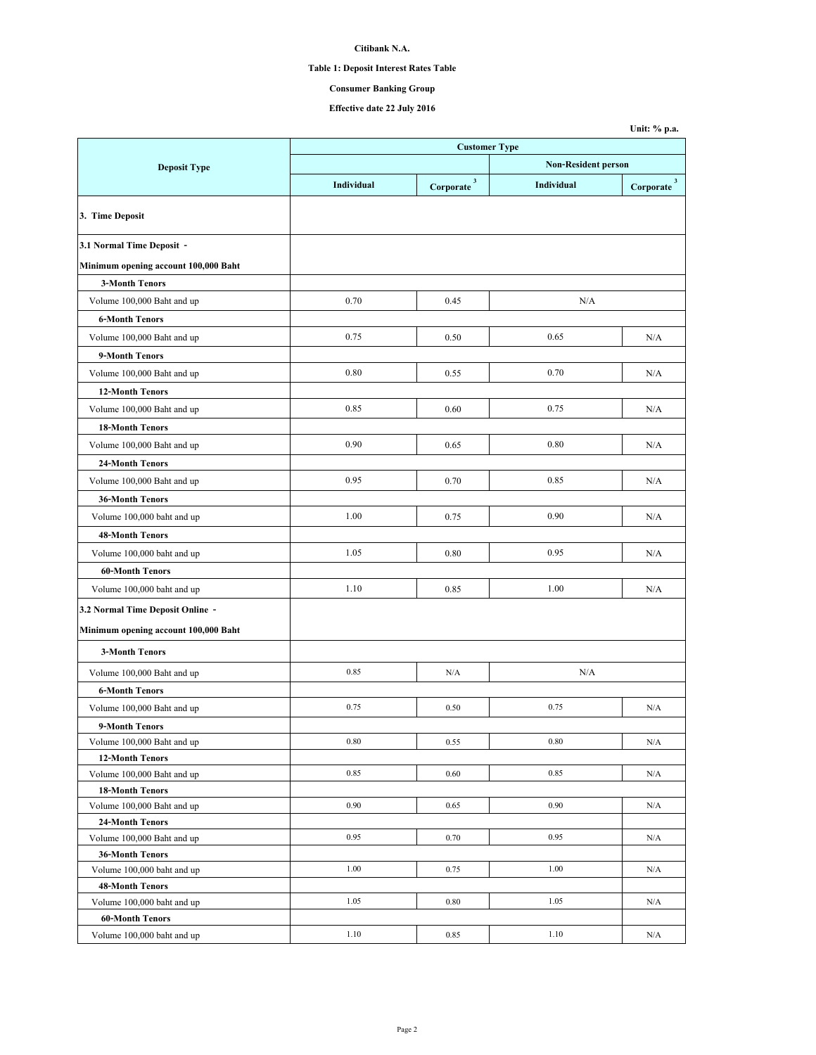# **Table 1: Deposit Interest Rates Table**

# **Consumer Banking Group**

**Unit: % p.a.**

|                                              | <b>Customer Type</b> |                          |                            |                        |  |
|----------------------------------------------|----------------------|--------------------------|----------------------------|------------------------|--|
| <b>Deposit Type</b>                          |                      |                          | <b>Non-Resident person</b> |                        |  |
|                                              | Individual           | $Corporate$ <sup>3</sup> | Individual                 | Corporate <sup>3</sup> |  |
| 3. Time Deposit                              |                      |                          |                            |                        |  |
| 3.1 Normal Time Deposit -                    |                      |                          |                            |                        |  |
| Minimum opening account 100,000 Baht         |                      |                          |                            |                        |  |
| <b>3-Month Tenors</b>                        |                      |                          |                            |                        |  |
| Volume 100,000 Baht and up                   | 0.70                 | 0.45                     | N/A                        |                        |  |
| <b>6-Month Tenors</b>                        |                      |                          |                            |                        |  |
| Volume 100,000 Baht and up                   | 0.75                 | 0.50                     | 0.65                       | N/A                    |  |
| 9-Month Tenors                               |                      |                          |                            |                        |  |
| Volume 100,000 Baht and up                   | 0.80                 | 0.55                     | 0.70                       | N/A                    |  |
| <b>12-Month Tenors</b>                       |                      |                          |                            |                        |  |
| Volume 100,000 Baht and up                   | 0.85                 | 0.60                     | 0.75                       | N/A                    |  |
| <b>18-Month Tenors</b>                       |                      |                          |                            |                        |  |
| Volume 100,000 Baht and up                   | 0.90                 | 0.65                     | 0.80                       | N/A                    |  |
|                                              |                      |                          |                            |                        |  |
| <b>24-Month Tenors</b>                       |                      |                          |                            |                        |  |
| Volume 100,000 Baht and up                   | 0.95                 | 0.70                     | 0.85                       | N/A                    |  |
| <b>36-Month Tenors</b>                       |                      |                          |                            |                        |  |
| Volume 100,000 baht and up                   | 1.00                 | 0.75                     | 0.90                       | N/A                    |  |
| <b>48-Month Tenors</b>                       |                      |                          |                            |                        |  |
| Volume 100,000 baht and up                   | 1.05                 | 0.80                     | 0.95                       | N/A                    |  |
| <b>60-Month Tenors</b>                       |                      |                          |                            |                        |  |
| Volume 100,000 baht and up                   | 1.10                 | 0.85                     | 1.00                       | N/A                    |  |
| 3.2 Normal Time Deposit Online -             |                      |                          |                            |                        |  |
| Minimum opening account 100,000 Baht         |                      |                          |                            |                        |  |
| <b>3-Month Tenors</b>                        |                      |                          |                            |                        |  |
| Volume 100,000 Baht and up                   | 0.85                 | N/A                      | N/A                        |                        |  |
| <b>6-Month Tenors</b>                        |                      |                          |                            |                        |  |
| Volume 100,000 Baht and up                   | 0.75                 | 0.50                     | 0.75                       | N/A                    |  |
|                                              |                      |                          |                            |                        |  |
| 9-Month Tenors<br>Volume 100,000 Baht and up | 0.80                 | 0.55                     | 0.80                       | N/A                    |  |
| <b>12-Month Tenors</b>                       |                      |                          |                            |                        |  |
| Volume 100,000 Baht and up                   | 0.85                 | 0.60                     | 0.85                       | N/A                    |  |
| <b>18-Month Tenors</b>                       |                      |                          |                            |                        |  |
| Volume 100,000 Baht and up                   | 0.90                 | 0.65                     | 0.90                       | N/A                    |  |
| 24-Month Tenors                              |                      |                          |                            |                        |  |
| Volume 100,000 Baht and up                   | 0.95                 | 0.70                     | 0.95                       | N/A                    |  |
| <b>36-Month Tenors</b>                       |                      |                          |                            |                        |  |
| Volume 100,000 baht and up                   | 1.00                 | 0.75                     | 1.00                       | N/A                    |  |
| <b>48-Month Tenors</b>                       |                      |                          |                            |                        |  |
| Volume 100,000 baht and up                   | 1.05                 | 0.80                     | 1.05                       | N/A                    |  |
| <b>60-Month Tenors</b>                       |                      |                          |                            |                        |  |
| Volume 100,000 baht and up                   | 1.10                 | 0.85                     | 1.10                       | N/A                    |  |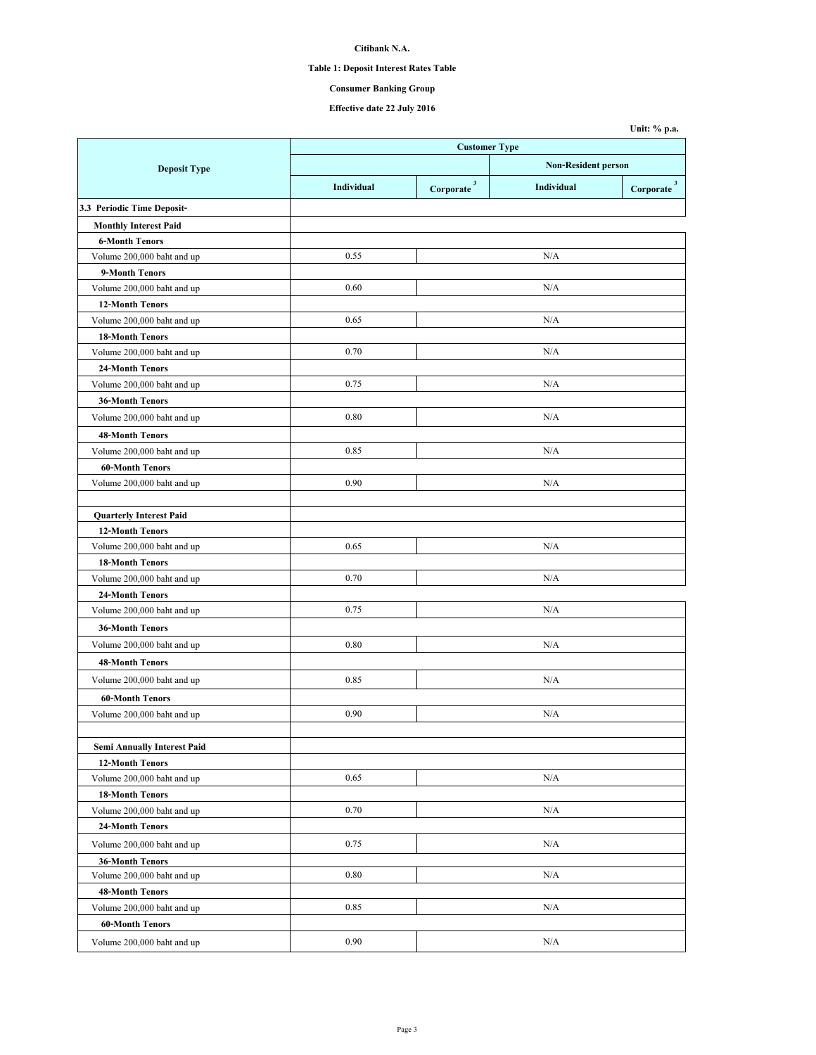# **Table 1: Deposit Interest Rates Table**

# **Consumer Banking Group**

**Unit: % p.a.**

|                                    | <b>Customer Type</b> |                                      |     |                          |
|------------------------------------|----------------------|--------------------------------------|-----|--------------------------|
| <b>Deposit Type</b>                |                      | <b>Non-Resident person</b>           |     |                          |
|                                    | Individual           | Corporate <sup>3</sup><br>Individual |     | $Corporate$ <sup>3</sup> |
| 3.3 Periodic Time Deposit-         |                      |                                      |     |                          |
|                                    |                      |                                      |     |                          |
| <b>Monthly Interest Paid</b>       |                      |                                      |     |                          |
| <b>6-Month Tenors</b>              | 0.55                 |                                      | N/A |                          |
| Volume 200,000 baht and up         |                      |                                      |     |                          |
| 9-Month Tenors                     | 0.60                 |                                      | N/A |                          |
| Volume 200,000 baht and up         |                      |                                      |     |                          |
| <b>12-Month Tenors</b>             | 0.65                 |                                      | N/A |                          |
| Volume 200,000 baht and up         |                      |                                      |     |                          |
| <b>18-Month Tenors</b>             | 0.70                 |                                      | N/A |                          |
| Volume 200,000 baht and up         |                      |                                      |     |                          |
| 24-Month Tenors                    | 0.75                 |                                      | N/A |                          |
| Volume 200,000 baht and up         |                      |                                      |     |                          |
| <b>36-Month Tenors</b>             |                      |                                      |     |                          |
| Volume 200,000 baht and up         | 0.80                 |                                      | N/A |                          |
| <b>48-Month Tenors</b>             |                      |                                      |     |                          |
| Volume 200,000 baht and up         | 0.85                 |                                      | N/A |                          |
| <b>60-Month Tenors</b>             |                      |                                      |     |                          |
| Volume 200,000 baht and up         | 0.90                 |                                      | N/A |                          |
|                                    |                      |                                      |     |                          |
| <b>Quarterly Interest Paid</b>     |                      |                                      |     |                          |
| <b>12-Month Tenors</b>             |                      |                                      |     |                          |
| Volume 200,000 baht and up         | 0.65                 |                                      | N/A |                          |
| <b>18-Month Tenors</b>             |                      |                                      |     |                          |
| Volume 200,000 baht and up         | 0.70                 |                                      | N/A |                          |
| 24-Month Tenors                    |                      |                                      |     |                          |
| Volume 200,000 baht and up         | 0.75                 |                                      | N/A |                          |
| <b>36-Month Tenors</b>             |                      |                                      |     |                          |
| Volume 200,000 baht and up         | 0.80                 |                                      | N/A |                          |
| <b>48-Month Tenors</b>             |                      |                                      |     |                          |
| Volume 200,000 baht and up         | 0.85                 |                                      | N/A |                          |
| <b>60-Month Tenors</b>             |                      |                                      |     |                          |
| Volume 200,000 baht and up         | 0.90                 |                                      | N/A |                          |
|                                    |                      |                                      |     |                          |
| <b>Semi Annually Interest Paid</b> |                      |                                      |     |                          |
| <b>12-Month Tenors</b>             |                      |                                      |     |                          |
| Volume 200,000 baht and up         | 0.65                 |                                      | N/A |                          |
| <b>18-Month Tenors</b>             |                      |                                      |     |                          |
| Volume 200,000 baht and up         | 0.70                 |                                      | N/A |                          |
| <b>24-Month Tenors</b>             |                      |                                      |     |                          |
| Volume 200,000 baht and up         | 0.75                 |                                      | N/A |                          |
| <b>36-Month Tenors</b>             |                      |                                      |     |                          |
| Volume 200,000 baht and up         | 0.80                 |                                      | N/A |                          |
| 48-Month Tenors                    |                      |                                      |     |                          |
| Volume 200,000 baht and up         | 0.85                 |                                      | N/A |                          |
| <b>60-Month Tenors</b>             |                      |                                      |     |                          |
| Volume 200,000 baht and up         | 0.90                 |                                      | N/A |                          |
|                                    |                      |                                      |     |                          |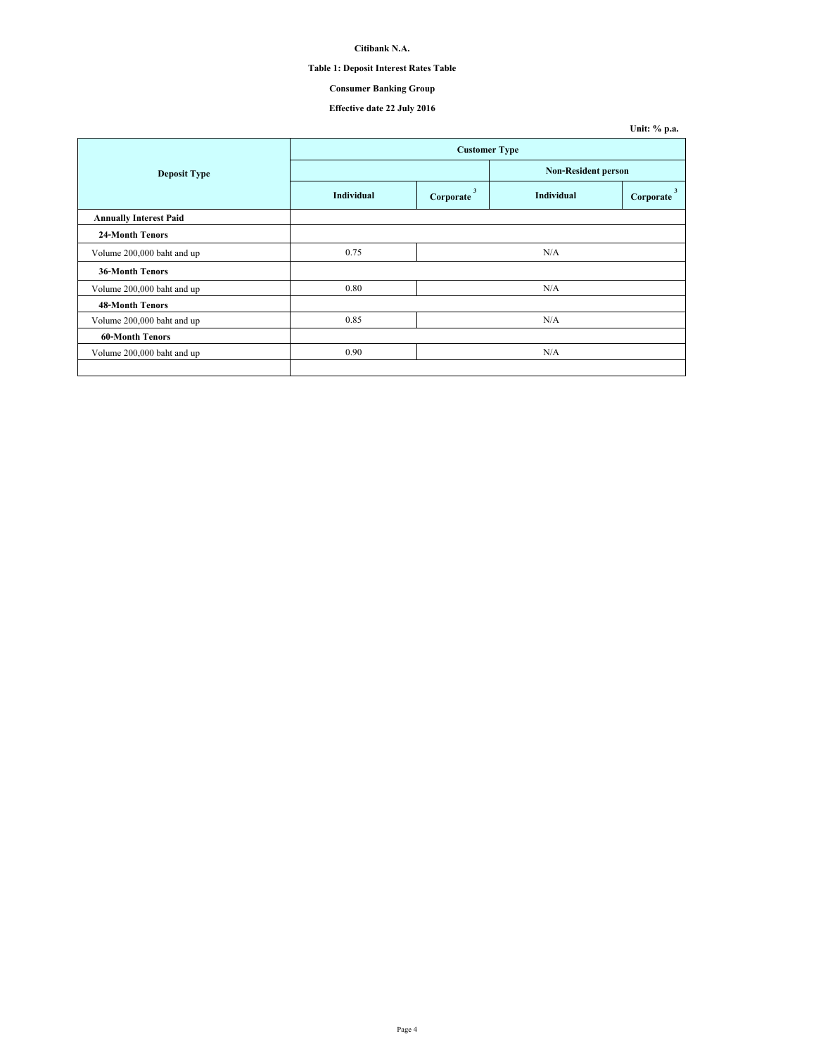# **Table 1: Deposit Interest Rates Table**

# **Consumer Banking Group**

|                               |            |                      |                   | Unit: % p.a.                         |  |
|-------------------------------|------------|----------------------|-------------------|--------------------------------------|--|
|                               |            | <b>Customer Type</b> |                   |                                      |  |
| <b>Deposit Type</b>           |            |                      |                   | <b>Non-Resident person</b>           |  |
|                               | Individual | 3<br>Corporate       | <b>Individual</b> | $\overline{\mathbf{3}}$<br>Corporate |  |
| <b>Annually Interest Paid</b> |            |                      |                   |                                      |  |
| <b>24-Month Tenors</b>        |            |                      |                   |                                      |  |
| Volume 200,000 baht and up    | 0.75       |                      | N/A               |                                      |  |
| <b>36-Month Tenors</b>        |            |                      |                   |                                      |  |
| Volume 200,000 baht and up    | 0.80       |                      | N/A               |                                      |  |
| <b>48-Month Tenors</b>        |            |                      |                   |                                      |  |
| Volume 200,000 baht and up    | 0.85       |                      | N/A               |                                      |  |
| <b>60-Month Tenors</b>        |            |                      |                   |                                      |  |
| Volume 200,000 baht and up    | 0.90       |                      | N/A               |                                      |  |
|                               |            |                      |                   |                                      |  |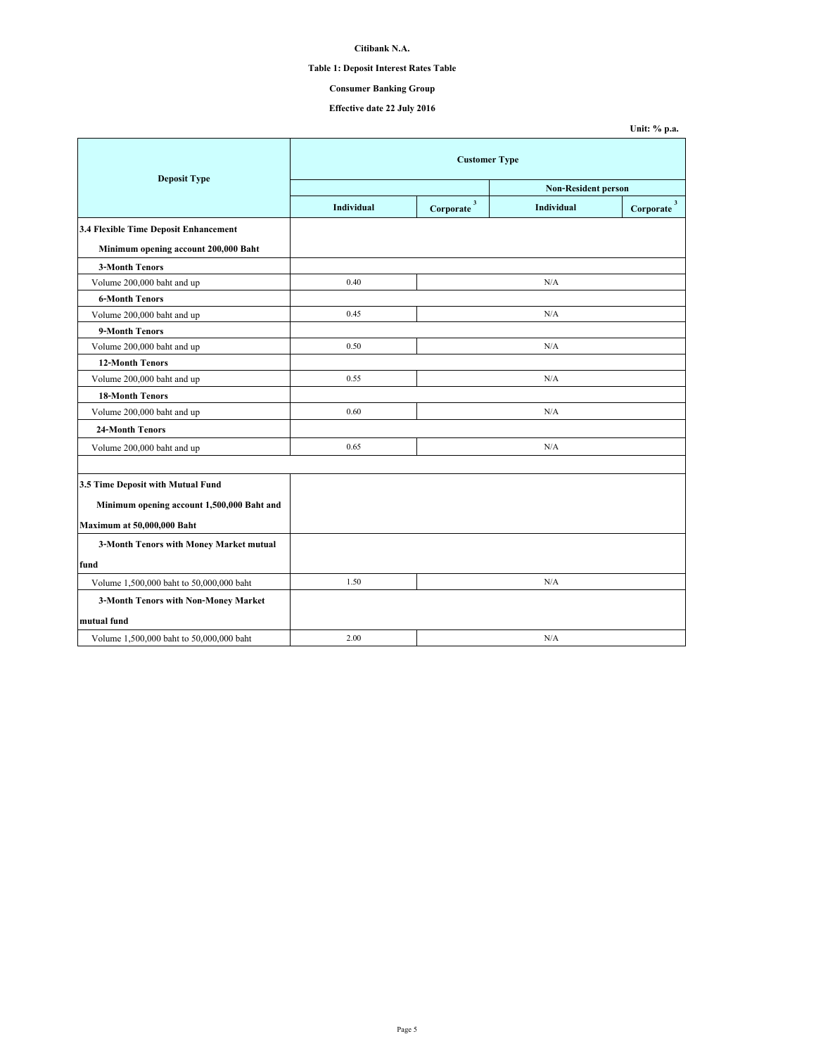# **Table 1: Deposit Interest Rates Table**

# **Consumer Banking Group**

|                                            |                            |                          |                   | Unit: % p.a.             |  |  |
|--------------------------------------------|----------------------------|--------------------------|-------------------|--------------------------|--|--|
|                                            | <b>Customer Type</b>       |                          |                   |                          |  |  |
| <b>Deposit Type</b>                        | <b>Non-Resident person</b> |                          |                   |                          |  |  |
|                                            | <b>Individual</b>          | $Corporate$ <sup>3</sup> | <b>Individual</b> | $Corporate$ <sup>3</sup> |  |  |
| 3.4 Flexible Time Deposit Enhancement      |                            |                          |                   |                          |  |  |
| Minimum opening account 200,000 Baht       |                            |                          |                   |                          |  |  |
| <b>3-Month Tenors</b>                      |                            |                          |                   |                          |  |  |
| Volume 200,000 baht and up                 | 0.40                       |                          | N/A               |                          |  |  |
| <b>6-Month Tenors</b>                      |                            |                          |                   |                          |  |  |
| Volume 200,000 baht and up                 | 0.45                       |                          | N/A               |                          |  |  |
| 9-Month Tenors                             |                            |                          |                   |                          |  |  |
| Volume 200,000 baht and up                 | 0.50                       |                          | N/A               |                          |  |  |
| <b>12-Month Tenors</b>                     |                            |                          |                   |                          |  |  |
| Volume 200,000 baht and up                 | 0.55                       | N/A                      |                   |                          |  |  |
| <b>18-Month Tenors</b>                     |                            |                          |                   |                          |  |  |
| Volume 200,000 baht and up                 | 0.60                       |                          | N/A               |                          |  |  |
| 24-Month Tenors                            |                            |                          |                   |                          |  |  |
| Volume 200,000 baht and up                 | 0.65                       |                          | N/A               |                          |  |  |
|                                            |                            |                          |                   |                          |  |  |
| 3.5 Time Deposit with Mutual Fund          |                            |                          |                   |                          |  |  |
| Minimum opening account 1,500,000 Baht and |                            |                          |                   |                          |  |  |
| Maximum at 50,000,000 Baht                 |                            |                          |                   |                          |  |  |
| 3-Month Tenors with Money Market mutual    |                            |                          |                   |                          |  |  |
| fund                                       |                            |                          |                   |                          |  |  |
| Volume 1,500,000 baht to 50,000,000 baht   | 1.50                       |                          | N/A               |                          |  |  |
| 3-Month Tenors with Non-Money Market       |                            |                          |                   |                          |  |  |
| mutual fund                                |                            |                          |                   |                          |  |  |
| Volume 1,500,000 baht to 50,000,000 baht   | 2.00                       |                          | N/A               |                          |  |  |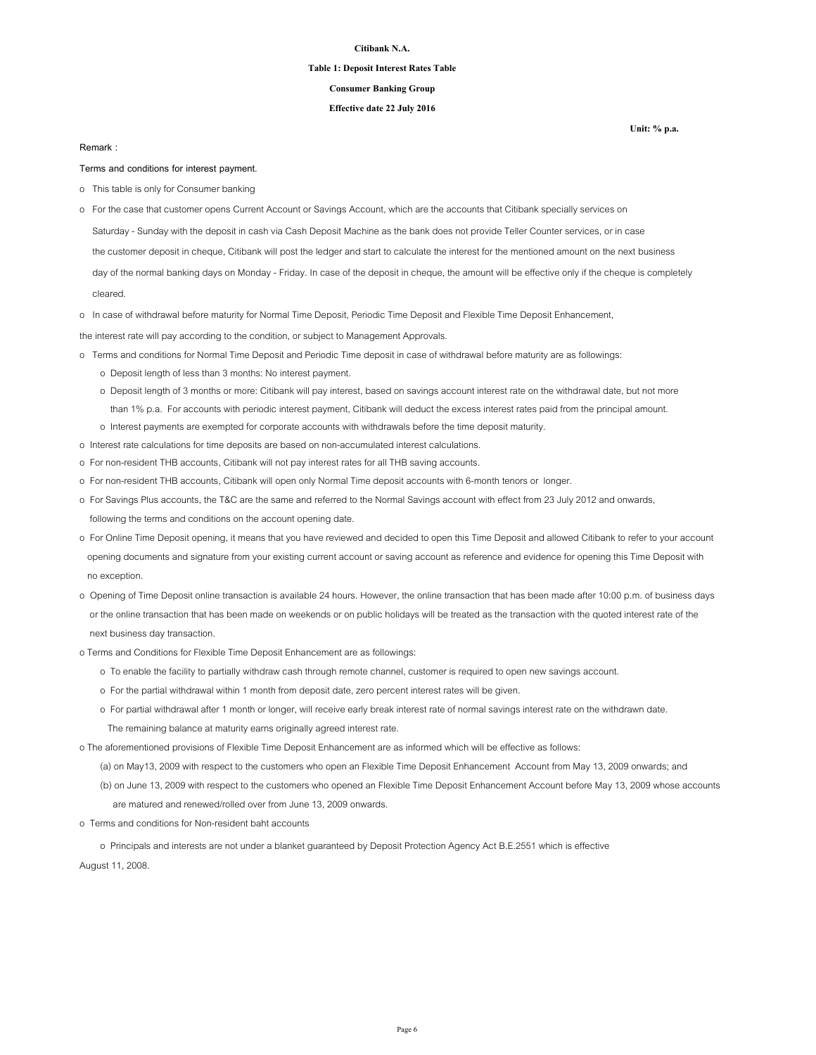#### **Table 1: Deposit Interest Rates Table**

### **Consumer Banking Group**

### **Effective date 22 July 2016**

#### **Remark :**

**Terms and conditions for interest payment.**

- o This table is only for Consumer banking
- o For the case that customer opens Current Account or Savings Account, which are the accounts that Citibank specially services on
- Saturday Sunday with the deposit in cash via Cash Deposit Machine as the bank does not provide Teller Counter services, or in case
- the customer deposit in cheque, Citibank will post the ledger and start to calculate the interest for the mentioned amount on the next business

 day of the normal banking days on Monday - Friday. In case of the deposit in cheque, the amount will be effective only if the cheque is completely cleared.

o In case of withdrawal before maturity for Normal Time Deposit, Periodic Time Deposit and Flexible Time Deposit Enhancement,

the interest rate will pay according to the condition, or subject to Management Approvals.

- o Terms and conditions for Normal Time Deposit and Periodic Time deposit in case of withdrawal before maturity are as followings:
	- o Deposit length of less than 3 months: No interest payment.
	- o Deposit length of 3 months or more: Citibank will pay interest, based on savings account interest rate on the withdrawal date, but not more than 1% p.a. For accounts with periodic interest payment, Citibank will deduct the excess interest rates paid from the principal amount.
	- o Interest payments are exempted for corporate accounts with withdrawals before the time deposit maturity.
- o Interest rate calculations for time deposits are based on non-accumulated interest calculations.
- o For non-resident THB accounts, Citibank will not pay interest rates for all THB saving accounts.
- o For non-resident THB accounts, Citibank will open only Normal Time deposit accounts with 6-month tenors or longer.
- o For Savings Plus accounts, the T&C are the same and referred to the Normal Savings account with effect from 23 July 2012 and onwards, following the terms and conditions on the account opening date.
- o For Online Time Deposit opening, it means that you have reviewed and decided to open this Time Deposit and allowed Citibank to refer to your account opening documents and signature from your existing current account or saving account as reference and evidence for opening this Time Deposit with no exception.
- o Opening of Time Deposit online transaction is available 24 hours. However, the online transaction that has been made after 10:00 p.m. of business days or the online transaction that has been made on weekends or on public holidays will be treated as the transaction with the quoted interest rate of the next business day transaction.
- o Terms and Conditions for Flexible Time Deposit Enhancement are as followings:
	- o To enable the facility to partially withdraw cash through remote channel, customer is required to open new savings account.
	- o For the partial withdrawal within 1 month from deposit date, zero percent interest rates will be given.
	- o For partial withdrawal after 1 month or longer, will receive early break interest rate of normal savings interest rate on the withdrawn date.
	- The remaining balance at maturity earns originally agreed interest rate.

o The aforementioned provisions of Flexible Time Deposit Enhancement are as informed which will be effective as follows:

- (a) on May13, 2009 with respect to the customers who open an Flexible Time Deposit Enhancement Account from May 13, 2009 onwards; and
- (b) on June 13, 2009 with respect to the customers who opened an Flexible Time Deposit Enhancement Account before May 13, 2009 whose accounts
	- are matured and renewed/rolled over from June 13, 2009 onwards.
- o Terms and conditions for Non-resident baht accounts

 o Principals and interests are not under a blanket guaranteed by Deposit Protection Agency Act B.E.2551 which is effective August 11, 2008.

**Unit: % p.a.**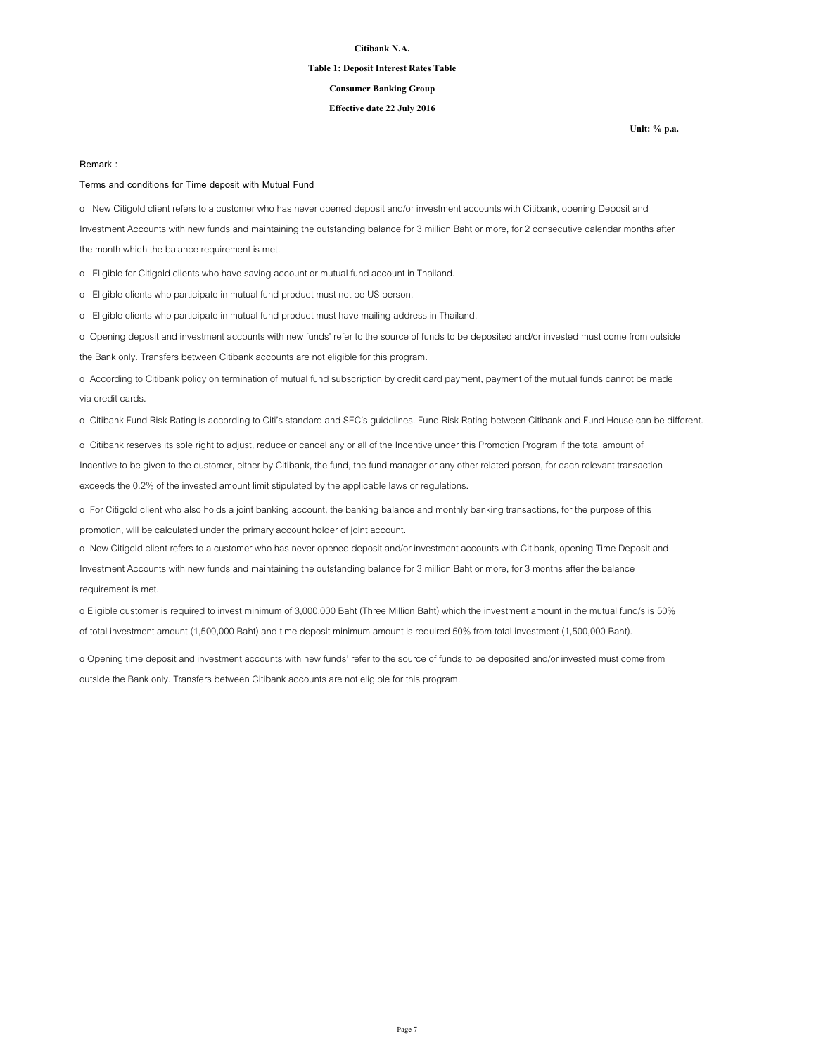#### **Table 1: Deposit Interest Rates Table**

#### **Consumer Banking Group**

### **Effective date 22 July 2016**

**Unit: % p.a.**

#### **Remark :**

#### **Terms and conditions for Time deposit with Mutual Fund**

the month which the balance requirement is met.

o New Citigold client refers to a customer who has never opened deposit and/or investment accounts with Citibank, opening Deposit and Investment Accounts with new funds and maintaining the outstanding balance for 3 million Baht or more, for 2 consecutive calendar months after

o Eligible for Citigold clients who have saving account or mutual fund account in Thailand.

o Eligible clients who participate in mutual fund product must not be US person.

o Eligible clients who participate in mutual fund product must have mailing address in Thailand.

o Opening deposit and investment accounts with new funds' refer to the source of funds to be deposited and/or invested must come from outside

the Bank only. Transfers between Citibank accounts are not eligible for this program.

o According to Citibank policy on termination of mutual fund subscription by credit card payment, payment of the mutual funds cannot be made via credit cards.

o Citibank Fund Risk Rating is according to Citi's standard and SEC's guidelines. Fund Risk Rating between Citibank and Fund House can be different.

o Citibank reserves its sole right to adjust, reduce or cancel any or all of the Incentive under this Promotion Program if the total amount of Incentive to be given to the customer, either by Citibank, the fund, the fund manager or any other related person, for each relevant transaction exceeds the 0.2% of the invested amount limit stipulated by the applicable laws or regulations.

o For Citigold client who also holds a joint banking account, the banking balance and monthly banking transactions, for the purpose of this promotion, will be calculated under the primary account holder of joint account.

o New Citigold client refers to a customer who has never opened deposit and/or investment accounts with Citibank, opening Time Deposit and Investment Accounts with new funds and maintaining the outstanding balance for 3 million Baht or more, for 3 months after the balance requirement is met.

o Eligible customer is required to invest minimum of 3,000,000 Baht (Three Million Baht) which the investment amount in the mutual fund/s is 50% of total investment amount (1,500,000 Baht) and time deposit minimum amount is required 50% from total investment (1,500,000 Baht).

o Opening time deposit and investment accounts with new funds' refer to the source of funds to be deposited and/or invested must come from outside the Bank only. Transfers between Citibank accounts are not eligible for this program.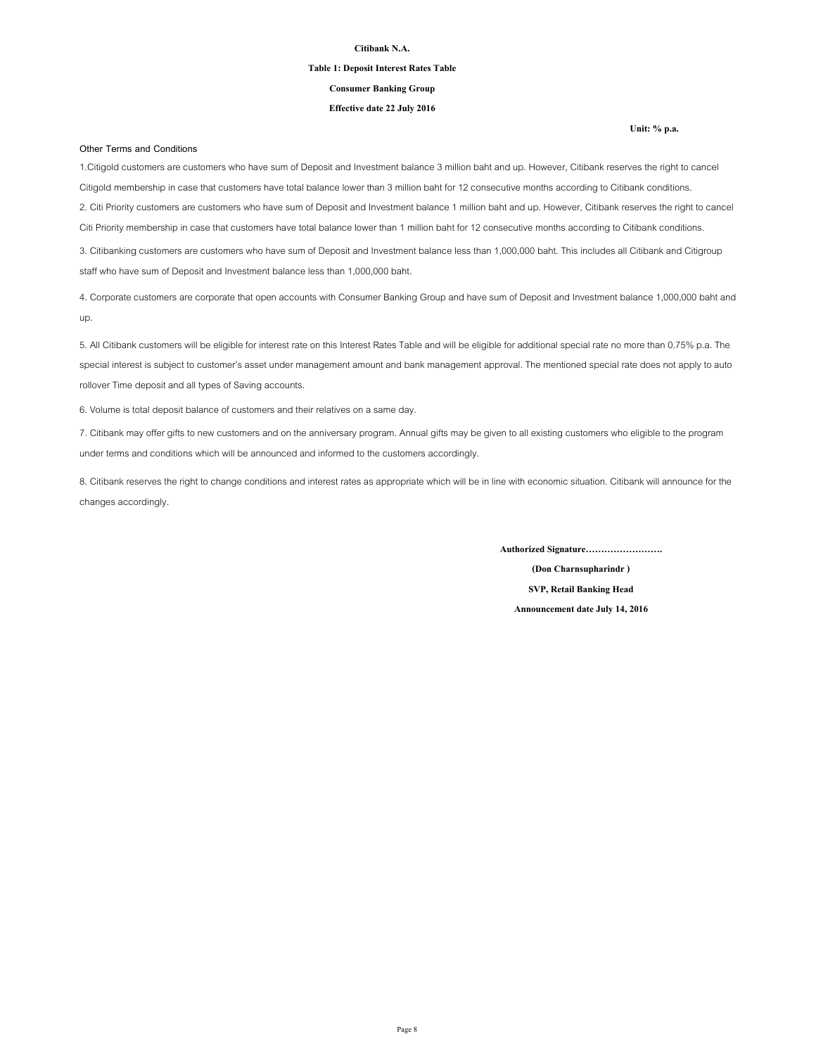#### **Table 1: Deposit Interest Rates Table**

**Consumer Banking Group**

### **Effective date 22 July 2016**

#### **Other Terms and Conditions**

1.Citigold customers are customers who have sum of Deposit and Investment balance 3 million baht and up. However, Citibank reserves the right to cancel Citigold membership in case that customers have total balance lower than 3 million baht for 12 consecutive months according to Citibank conditions. 2. Citi Priority customers are customers who have sum of Deposit and Investment balance 1 million baht and up. However, Citibank reserves the right to cancel Citi Priority membership in case that customers have total balance lower than 1 million baht for 12 consecutive months according to Citibank conditions. 3. Citibanking customers are customers who have sum of Deposit and Investment balance less than 1,000,000 baht. This includes all Citibank and Citigroup staff who have sum of Deposit and Investment balance less than 1,000,000 baht.

4. Corporate customers are corporate that open accounts with Consumer Banking Group and have sum of Deposit and Investment balance 1,000,000 baht and up.

5. All Citibank customers will be eligible for interest rate on this Interest Rates Table and will be eligible for additional special rate no more than 0.75% p.a. The special interest is subject to customer's asset under management amount and bank management approval. The mentioned special rate does not apply to auto rollover Time deposit and all types of Saving accounts.

6. Volume is total deposit balance of customers and their relatives on a same day.

7. Citibank may offer gifts to new customers and on the anniversary program. Annual gifts may be given to all existing customers who eligible to the program under terms and conditions which will be announced and informed to the customers accordingly.

8. Citibank reserves the right to change conditions and interest rates as appropriate which will be in line with economic situation. Citibank will announce for the changes accordingly.

**Authorized Signature…………………….**

**(Don Charnsupharindr ) SVP, Retail Banking Head Announcement date July 14, 2016**

#### **Unit: % p.a.**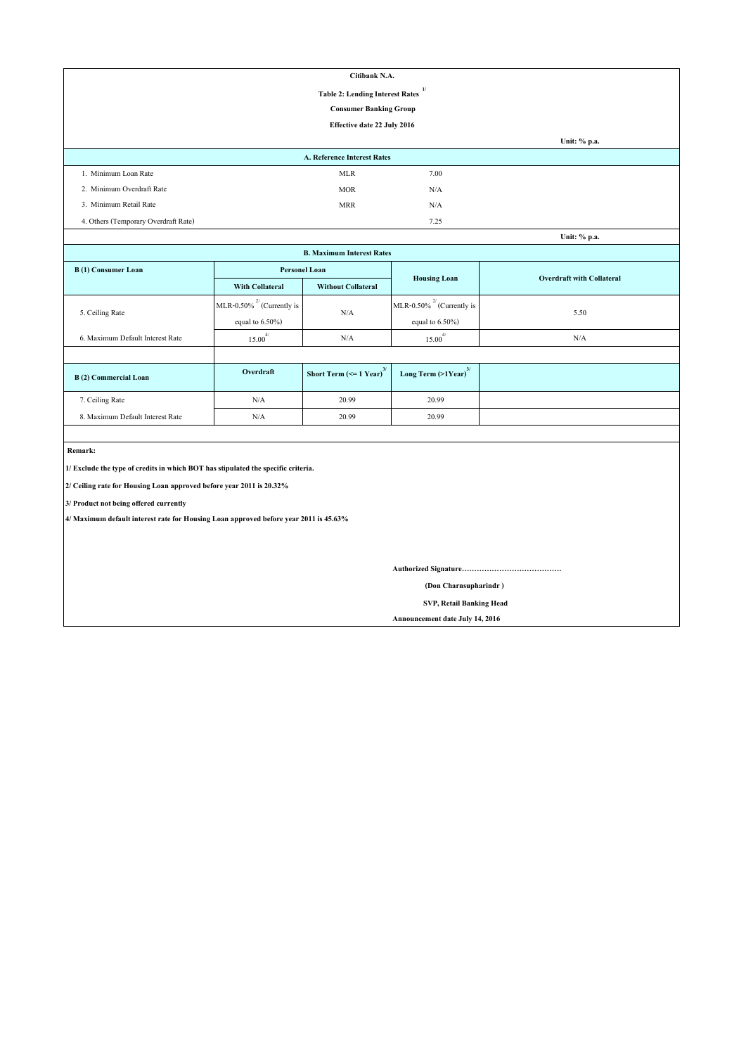| Citibank N.A.                        |                                                        |      |              |  |  |
|--------------------------------------|--------------------------------------------------------|------|--------------|--|--|
|                                      | $\mathbf{1}$<br><b>Table 2: Lending Interest Rates</b> |      |              |  |  |
|                                      | <b>Consumer Banking Group</b>                          |      |              |  |  |
|                                      | Effective date 22 July 2016                            |      |              |  |  |
|                                      |                                                        |      | Unit: % p.a. |  |  |
|                                      | A. Reference Interest Rates                            |      |              |  |  |
| 1. Minimum Loan Rate                 | <b>MLR</b>                                             | 7.00 |              |  |  |
| 2. Minimum Overdraft Rate            | <b>MOR</b>                                             | N/A  |              |  |  |
| 3. Minimum Retail Rate               | <b>MRR</b>                                             | N/A  |              |  |  |
| 4. Others (Temporary Overdraft Rate) |                                                        | 7.25 |              |  |  |
|                                      |                                                        |      | Unit: % p.a. |  |  |

| Unit: % p.a.                     |                                 |                                       |                                     |      |  |  |
|----------------------------------|---------------------------------|---------------------------------------|-------------------------------------|------|--|--|
| <b>B. Maximum Interest Rates</b> |                                 |                                       |                                     |      |  |  |
| B(1) Consumer Loan               |                                 | <b>Personel Loan</b>                  | <b>Overdraft with Collateral</b>    |      |  |  |
|                                  | <b>With Collateral</b>          | <b>Without Collateral</b>             | <b>Housing Loan</b>                 |      |  |  |
|                                  | MLR-0.50% $^{27}$ (Currently is | N/A                                   | MLR-0.50% $^{27}$ (Currently is     | 5.50 |  |  |
| 5. Ceiling Rate                  | equal to $6.50\%$ )             |                                       | equal to $6.50\%$ )                 |      |  |  |
| 6. Maximum Default Interest Rate | $15.00^{4/}$                    | N/A                                   | $15.00^{4/}$                        | N/A  |  |  |
|                                  |                                 |                                       |                                     |      |  |  |
| B (2) Commercial Loan            | Overdraft                       | Short Term $(<=1$ Year) <sup>3/</sup> | Long Term $(>1$ Year) <sup>3/</sup> |      |  |  |
| 7. Ceiling Rate                  | N/A                             | 20.99                                 | 20.99                               |      |  |  |
| 8. Maximum Default Interest Rate | N/A                             | 20.99                                 | 20.99                               |      |  |  |

 **Remark:**

**1/ Exclude the type of credits in which BOT has stipulated the specific criteria.**

**2/ Ceiling rate for Housing Loan approved before year 2011 is 20.32%**

**3/ Product not being offered currently**

**4/ Maximum default interest rate for Housing Loan approved before year 2011 is 45.63%**

**Authorized Signature………………………………….**

 **(Don Charnsupharindr )**

 **SVP, Retail Banking Head**

**Announcement date July 14, 2016**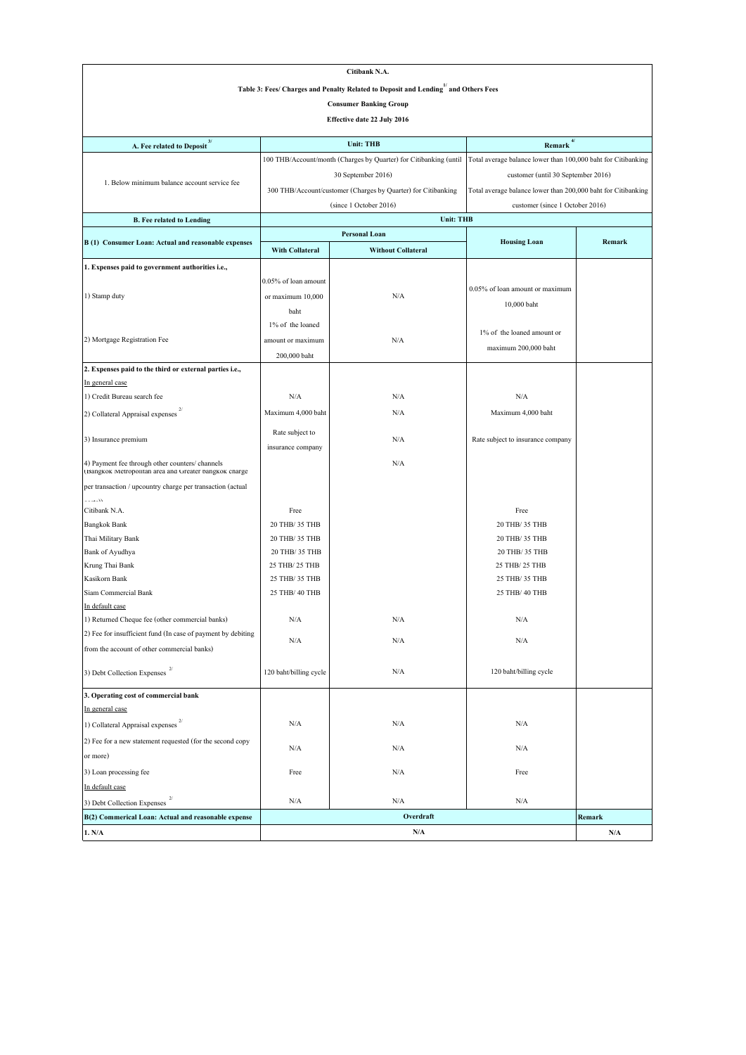| Citibank N.A.                                                                                               |                                |                                                                   |                                                               |        |  |
|-------------------------------------------------------------------------------------------------------------|--------------------------------|-------------------------------------------------------------------|---------------------------------------------------------------|--------|--|
| Table 3: Fees/ Charges and Penalty Related to Deposit and Lending and Others Fees                           |                                |                                                                   |                                                               |        |  |
|                                                                                                             |                                | <b>Consumer Banking Group</b>                                     |                                                               |        |  |
|                                                                                                             |                                | Effective date 22 July 2016                                       |                                                               |        |  |
|                                                                                                             |                                |                                                                   |                                                               |        |  |
| 3/<br>A. Fee related to Deposit                                                                             |                                | <b>Unit: THB</b>                                                  | 4/<br>Remark                                                  |        |  |
|                                                                                                             |                                | 100 THB/Account/month (Charges by Quarter) for Citibanking (until | Total average balance lower than 100,000 baht for Citibanking |        |  |
| 1. Below minimum balance account service fee                                                                |                                | 30 September 2016)                                                | customer (until 30 September 2016)                            |        |  |
|                                                                                                             |                                | 300 THB/Account/customer (Charges by Quarter) for Citibanking     | Total average balance lower than 200,000 baht for Citibanking |        |  |
|                                                                                                             |                                | (since 1 October 2016)                                            | customer (since 1 October 2016)                               |        |  |
| <b>B.</b> Fee related to Lending                                                                            |                                | <b>Unit: THB</b>                                                  |                                                               |        |  |
| B (1) Consumer Loan: Actual and reasonable expenses                                                         |                                | <b>Personal Loan</b>                                              | <b>Housing Loan</b>                                           | Remark |  |
|                                                                                                             | <b>With Collateral</b>         | <b>Without Collateral</b>                                         |                                                               |        |  |
| 1. Expenses paid to government authorities i.e.,                                                            |                                |                                                                   |                                                               |        |  |
|                                                                                                             | 0.05% of loan amount           |                                                                   |                                                               |        |  |
| 1) Stamp duty                                                                                               | or maximum 10,000              | N/A                                                               | 0.05% of loan amount or maximum                               |        |  |
|                                                                                                             | baht                           |                                                                   | 10,000 baht                                                   |        |  |
|                                                                                                             | 1% of the loaned               |                                                                   |                                                               |        |  |
| 2) Mortgage Registration Fee                                                                                | amount or maximum              | N/A                                                               | 1% of the loaned amount or                                    |        |  |
|                                                                                                             | 200,000 baht                   |                                                                   | maximum 200,000 baht                                          |        |  |
| 2. Expenses paid to the third or external parties i.e.,                                                     |                                |                                                                   |                                                               |        |  |
| In general case                                                                                             |                                |                                                                   |                                                               |        |  |
| 1) Credit Bureau search fee                                                                                 | N/A                            | N/A                                                               | N/A                                                           |        |  |
| 2) Collateral Appraisal expenses                                                                            | Maximum 4,000 baht             | N/A                                                               | Maximum 4,000 baht                                            |        |  |
|                                                                                                             | Rate subject to                | N/A                                                               |                                                               |        |  |
| 3) Insurance premium                                                                                        | insurance company              |                                                                   | Rate subject to insurance company                             |        |  |
| 4) Payment fee through other counters/ channels<br>(Bangkok Metropolitan area and Greater bangkok charge    |                                | N/A                                                               |                                                               |        |  |
| per transaction / upcountry charge per transaction (actual                                                  |                                |                                                                   |                                                               |        |  |
| أأمامت<br>Citibank N.A.                                                                                     | Free                           |                                                                   | Free                                                          |        |  |
| <b>Bangkok Bank</b>                                                                                         | 20 THB/ 35 THB                 |                                                                   | 20 THB/ 35 THB                                                |        |  |
| Thai Military Bank                                                                                          | 20 THB/ 35 THB                 |                                                                   | 20 THB/ 35 THB                                                |        |  |
| Bank of Ayudhya                                                                                             | 20 THB/ 35 THB                 |                                                                   | 20 THB/ 35 THB                                                |        |  |
| Krung Thai Bank                                                                                             | 25 THB/ 25 THB                 |                                                                   | 25 THB/ 25 THB                                                |        |  |
| Kasikorn Bank                                                                                               | 25 THB/ 35 THB                 |                                                                   | 25 THB/ 35 THB                                                |        |  |
| Siam Commercial Bank                                                                                        | 25 THB/ 40 THB                 |                                                                   | 25 THB/ 40 THB                                                |        |  |
| In default case                                                                                             |                                |                                                                   |                                                               |        |  |
| 1) Returned Cheque fee (other commercial banks)                                                             | N/A                            | N/A                                                               | N/A                                                           |        |  |
| 2) Fee for insufficient fund (In case of payment by debiting<br>from the account of other commercial banks) | N/A                            | N/A                                                               | N/A                                                           |        |  |
| 3) Debt Collection Expenses $^{2/}$                                                                         | 120 baht/billing cycle         | $\rm N/A$                                                         | 120 baht/billing cycle                                        |        |  |
| 3. Operating cost of commercial bank                                                                        |                                |                                                                   |                                                               |        |  |
| In general case                                                                                             |                                |                                                                   |                                                               |        |  |
| $\overline{2}$<br>1) Collateral Appraisal expenses                                                          | N/A                            | N/A                                                               | N/A                                                           |        |  |
| 2) Fee for a new statement requested (for the second copy                                                   | N/A                            | N/A                                                               | N/A                                                           |        |  |
| or more)                                                                                                    |                                |                                                                   |                                                               |        |  |
| 3) Loan processing fee                                                                                      | Free                           | N/A                                                               | Free                                                          |        |  |
| In default case                                                                                             |                                |                                                                   |                                                               |        |  |
| 3) Debt Collection Expenses                                                                                 | N/A                            | N/A                                                               | N/A                                                           |        |  |
| B(2) Commerical Loan: Actual and reasonable expense                                                         |                                | Overdraft                                                         |                                                               | Remark |  |
| 1. N/A                                                                                                      | N/A<br>$\mathbf{N}/\mathbf{A}$ |                                                                   |                                                               |        |  |